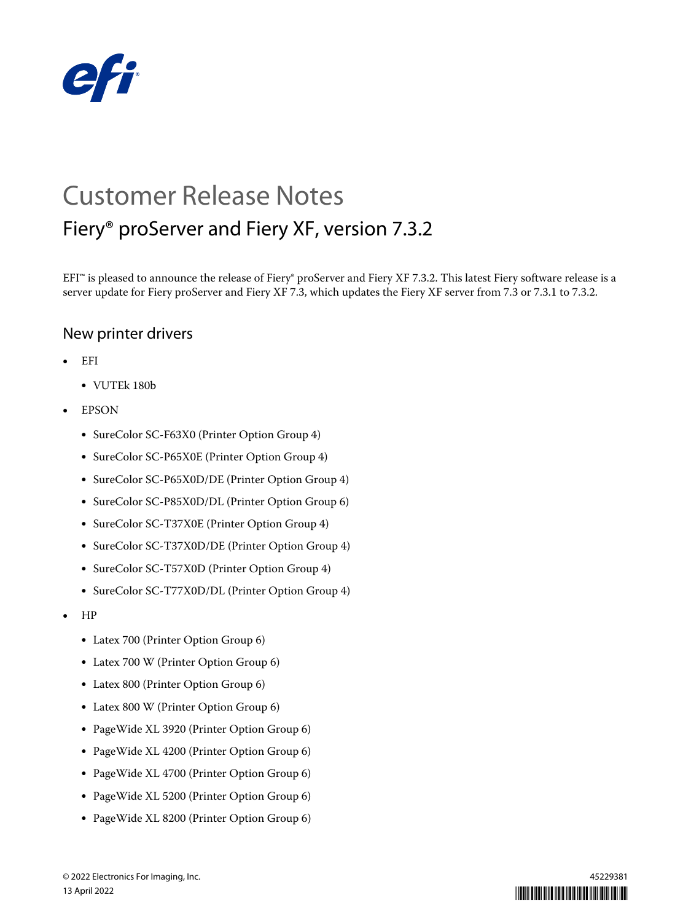

# Customer Release Notes Fiery® proServer and Fiery XF, version 7.3.2

EFI<sup>™</sup> is pleased to announce the release of Fiery® proServer and Fiery XF 7.3.2. This latest Fiery software release is a server update for Fiery proServer and Fiery XF 7.3, which updates the Fiery XF server from 7.3 or 7.3.1 to 7.3.2.

#### New printer drivers

- **•** EFI
	- **•** VUTEk 180b
- **•** EPSON
	- **•** SureColor SC-F63X0 (Printer Option Group 4)
	- **•** SureColor SC-P65X0E (Printer Option Group 4)
	- **•** SureColor SC-P65X0D/DE (Printer Option Group 4)
	- **•** SureColor SC-P85X0D/DL (Printer Option Group 6)
	- **•** SureColor SC-T37X0E (Printer Option Group 4)
	- **•** SureColor SC-T37X0D/DE (Printer Option Group 4)
	- **•** SureColor SC-T57X0D (Printer Option Group 4)
	- **•** SureColor SC-T77X0D/DL (Printer Option Group 4)
- **•** HP
	- **•** Latex 700 (Printer Option Group 6)
	- **•** Latex 700 W (Printer Option Group 6)
	- **•** Latex 800 (Printer Option Group 6)
	- **•** Latex 800 W (Printer Option Group 6)
	- **•** PageWide XL 3920 (Printer Option Group 6)
	- **•** PageWide XL 4200 (Printer Option Group 6)
	- **•** PageWide XL 4700 (Printer Option Group 6)
	- **•** PageWide XL 5200 (Printer Option Group 6)
	- **•** PageWide XL 8200 (Printer Option Group 6)

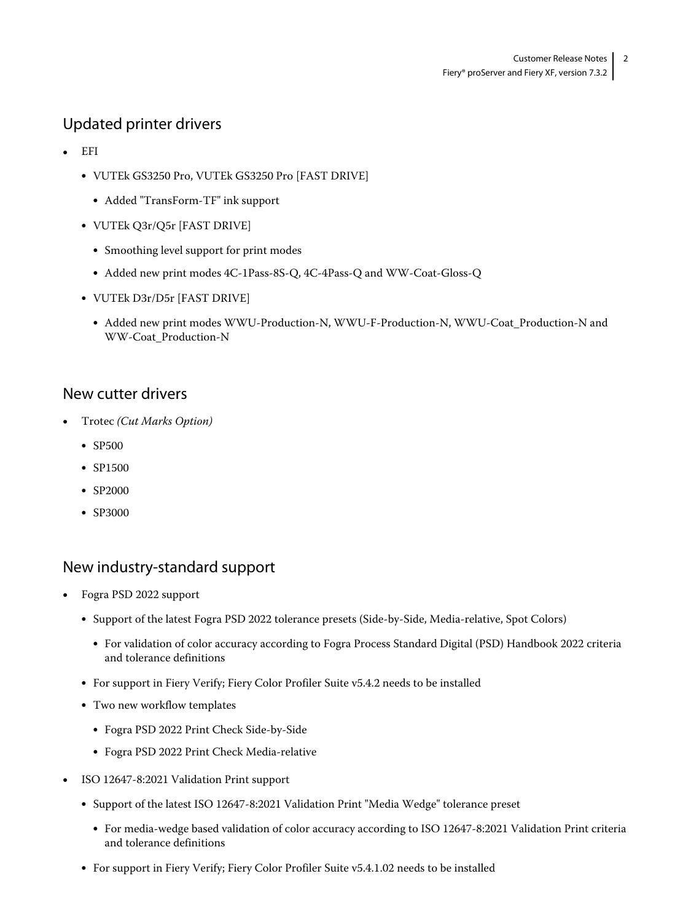## Updated printer drivers

- **•** EFI
	- **•** VUTEk GS3250 Pro, VUTEk GS3250 Pro [FAST DRIVE]
		- **•** Added "TransForm-TF" ink support
	- **•** VUTEk Q3r/Q5r [FAST DRIVE]
		- **•** Smoothing level support for print modes
		- **•** Added new print modes 4C-1Pass-8S-Q, 4C-4Pass-Q and WW-Coat-Gloss-Q
	- **•** VUTEk D3r/D5r [FAST DRIVE]
		- Added new print modes WWU-Production-N, WWU-F-Production-N, WWU-Coat\_Production-N and WW-Coat\_Production-N

#### New cutter drivers

- **•** Trotec *(Cut Marks Option)*
	- **•** SP500
	- **•** SP1500
	- **•** SP2000
	- **•** SP3000

#### New industry-standard support

- **•** Fogra PSD 2022 support
	- **•** Support of the latest Fogra PSD 2022 tolerance presets (Side-by-Side, Media-relative, Spot Colors)
		- **•** For validation of color accuracy according to Fogra Process Standard Digital (PSD) Handbook 2022 criteria and tolerance definitions
	- **•** For support in Fiery Verify; Fiery Color Profiler Suite v5.4.2 needs to be installed
	- **•** Two new workflow templates
		- **•** Fogra PSD 2022 Print Check Side-by-Side
		- **•** Fogra PSD 2022 Print Check Media-relative
- **•** ISO 12647-8:2021 Validation Print support
	- **•** Support of the latest ISO 12647-8:2021 Validation Print "Media Wedge" tolerance preset
		- **•** For media-wedge based validation of color accuracy according to ISO 12647-8:2021 Validation Print criteria and tolerance definitions
	- **•** For support in Fiery Verify; Fiery Color Profiler Suite v5.4.1.02 needs to be installed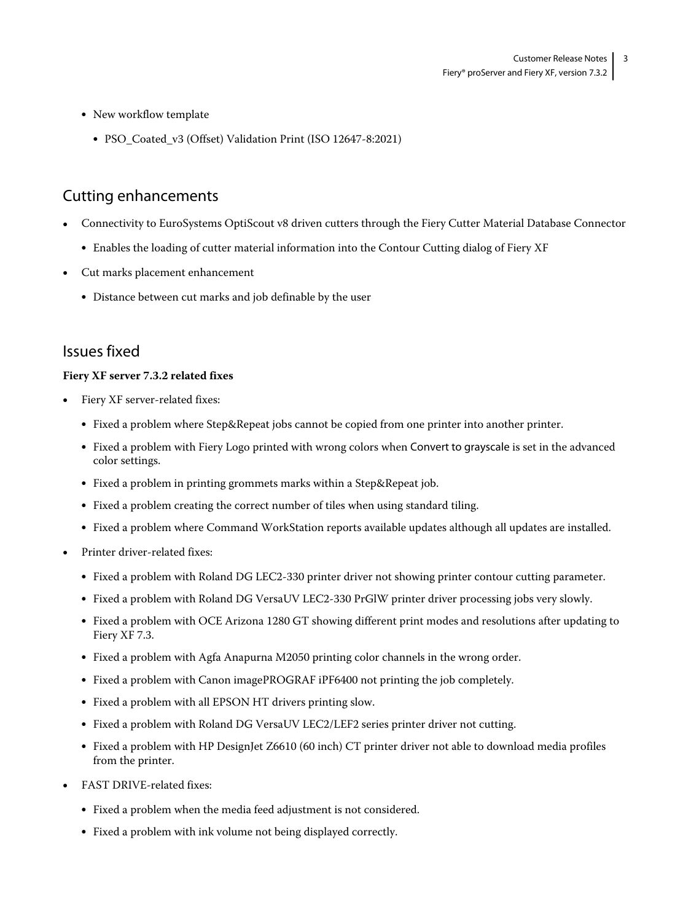- **•** New workflow template
	- **•** PSO\_Coated\_v3 (Offset) Validation Print (ISO 12647-8:2021)

### Cutting enhancements

- **•** Connectivity to EuroSystems OptiScout v8 driven cutters through the Fiery Cutter Material Database Connector
	- **•** Enables the loading of cutter material information into the Contour Cutting dialog of Fiery XF
- **•** Cut marks placement enhancement
	- **•** Distance between cut marks and job definable by the user

#### Issues fixed

#### **Fiery XF server 7.3.2 related fixes**

- **•** Fiery XF server-related fixes:
	- **•** Fixed a problem where Step&Repeat jobs cannot be copied from one printer into another printer.
	- **•** Fixed a problem with Fiery Logo printed with wrong colors when Convert to grayscale is set in the advanced color settings.
	- **•** Fixed a problem in printing grommets marks within a Step&Repeat job.
	- **•** Fixed a problem creating the correct number of tiles when using standard tiling.
	- **•** Fixed a problem where Command WorkStation reports available updates although all updates are installed.
- **•** Printer driver-related fixes:
	- **•** Fixed a problem with Roland DG LEC2-330 printer driver not showing printer contour cutting parameter.
	- **•** Fixed a problem with Roland DG VersaUV LEC2-330 PrGlW printer driver processing jobs very slowly.
	- **•** Fixed a problem with OCE Arizona 1280 GT showing different print modes and resolutions after updating to Fiery XF 7.3.
	- **•** Fixed a problem with Agfa Anapurna M2050 printing color channels in the wrong order.
	- **•** Fixed a problem with Canon imagePROGRAF iPF6400 not printing the job completely.
	- **•** Fixed a problem with all EPSON HT drivers printing slow.
	- **•** Fixed a problem with Roland DG VersaUV LEC2/LEF2 series printer driver not cutting.
	- **•** Fixed a problem with HP DesignJet Z6610 (60 inch) CT printer driver not able to download media profiles from the printer.
- **•** FAST DRIVE-related fixes:
	- **•** Fixed a problem when the media feed adjustment is not considered.
	- **•** Fixed a problem with ink volume not being displayed correctly.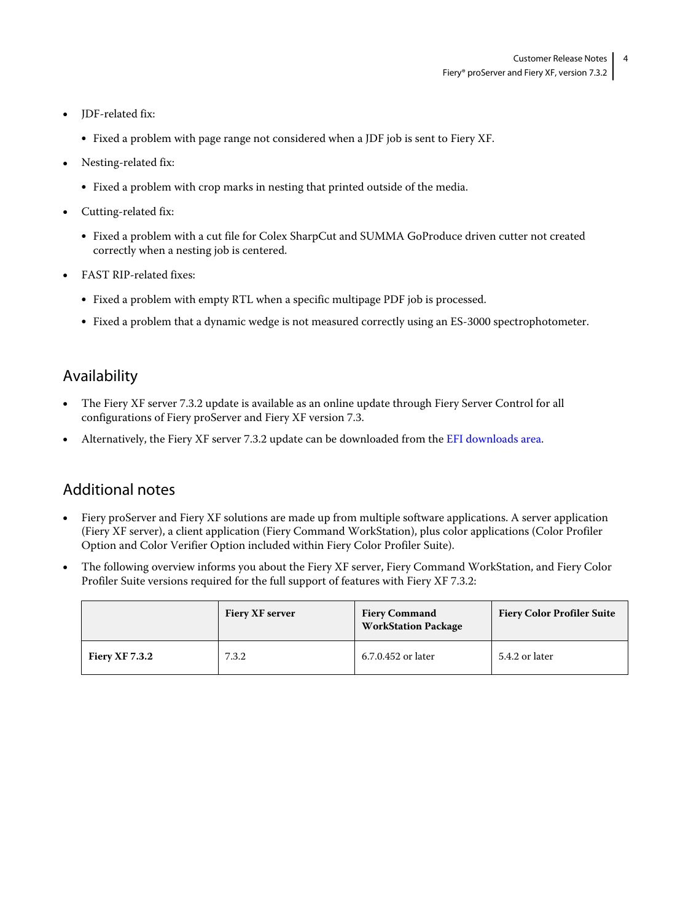- **•** JDF-related fix:
	- **•** Fixed a problem with page range not considered when a JDF job is sent to Fiery XF.
- **•** Nesting-related fix:
	- **•** Fixed a problem with crop marks in nesting that printed outside of the media.
- **•** Cutting-related fix:
	- **•** Fixed a problem with a cut file for Colex SharpCut and SUMMA GoProduce driven cutter not created correctly when a nesting job is centered.
- **•** FAST RIP-related fixes:
	- **•** Fixed a problem with empty RTL when a specific multipage PDF job is processed.
	- Fixed a problem that a dynamic wedge is not measured correctly using an ES-3000 spectrophotometer.

#### Availability

- **•** The Fiery XF server 7.3.2 update is available as an online update through Fiery Server Control for all configurations of Fiery proServer and Fiery XF version 7.3.
- **•** Alternatively, the Fiery XF server 7.3.2 update can be downloaded from the [EFI downloads area](http://www.efi.com/products/inkjet-printing-and-proofing/fiery-for-inkjet/fiery-xf/download/).

#### Additional notes

- **•** Fiery proServer and Fiery XF solutions are made up from multiple software applications. A server application (Fiery XF server), a client application (Fiery Command WorkStation), plus color applications (Color Profiler Option and Color Verifier Option included within Fiery Color Profiler Suite).
- **•** The following overview informs you about the Fiery XF server, Fiery Command WorkStation, and Fiery Color Profiler Suite versions required for the full support of features with Fiery XF 7.3.2:

|                       | <b>Fiery XF server</b> | <b>Fiery Command</b><br><b>WorkStation Package</b> | <b>Fiery Color Profiler Suite</b> |
|-----------------------|------------------------|----------------------------------------------------|-----------------------------------|
| <b>Fiery XF 7.3.2</b> | 7.3.2                  | 6.7.0.452 or later                                 | 5.4.2 or later                    |